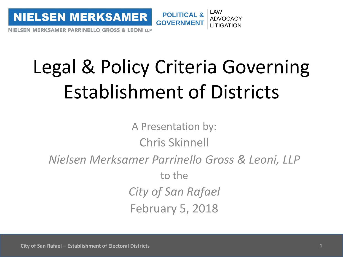

# Legal & Policy Criteria Governing Establishment of Districts

A Presentation by: Chris Skinnell *Nielsen Merksamer Parrinello Gross & Leoni, LLP* to the *City of San Rafael* February 5, 2018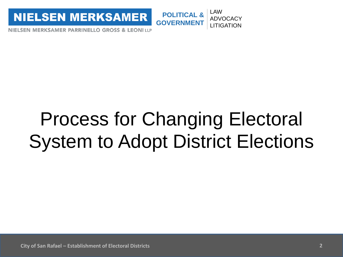

#### **POLITICAL & GOVERNMENT** LAW ADVOCACY LITIGATION

NIELSEN MERKSAMER PARRINELLO GROSS & LEONI LLP

# Process for Changing Electoral System to Adopt District Elections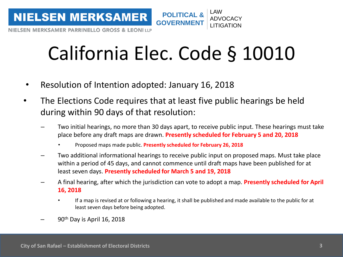

# California Elec. Code § 10010

- Resolution of Intention adopted: January 16, 2018
- The Elections Code requires that at least five public hearings be held during within 90 days of that resolution:
	- Two initial hearings, no more than 30 days apart, to receive public input. These hearings must take place before any draft maps are drawn. **Presently scheduled for February 5 and 20, 2018**
		- Proposed maps made public. **Presently scheduled for February 26, 2018**
	- Two additional informational hearings to receive public input on proposed maps. Must take place within a period of 45 days, and cannot commence until draft maps have been published for at least seven days. **Presently scheduled for March 5 and 19, 2018**
	- A final hearing, after which the jurisdiction can vote to adopt a map. **Presently scheduled for April 16, 2018**
		- If a map is revised at or following a hearing, it shall be published and made available to the public for at least seven days before being adopted.
	- $90<sup>th</sup>$  Day is April 16, 2018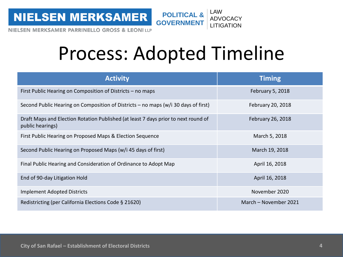**NIELSEN MERKSAMER** 



NIELSEN MERKSAMER PARRINELLO GROSS & LEONI LLP

### Process: Adopted Timeline

| <b>Activity</b>                                                                                        | <b>Timing</b>         |
|--------------------------------------------------------------------------------------------------------|-----------------------|
| First Public Hearing on Composition of Districts – no maps                                             | February 5, 2018      |
| Second Public Hearing on Composition of Districts – no maps ( $w/i$ 30 days of first)                  | February 20, 2018     |
| Draft Maps and Election Rotation Published (at least 7 days prior to next round of<br>public hearings) | February 26, 2018     |
| First Public Hearing on Proposed Maps & Election Sequence                                              | March 5, 2018         |
| Second Public Hearing on Proposed Maps (w/i 45 days of first)                                          | March 19, 2018        |
| Final Public Hearing and Consideration of Ordinance to Adopt Map                                       | April 16, 2018        |
| End of 90-day Litigation Hold                                                                          | April 16, 2018        |
| Implement Adopted Districts                                                                            | November 2020         |
| Redistricting (per California Elections Code § 21620)                                                  | March – November 2021 |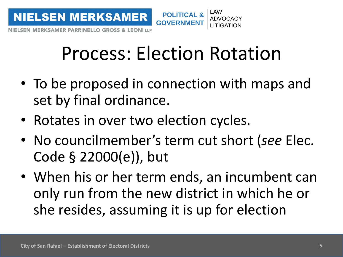

# Process: Election Rotation

- To be proposed in connection with maps and set by final ordinance.
- Rotates in over two election cycles.
- No councilmember's term cut short (*see* Elec. Code § 22000(e)), but
- When his or her term ends, an incumbent can only run from the new district in which he or she resides, assuming it is up for election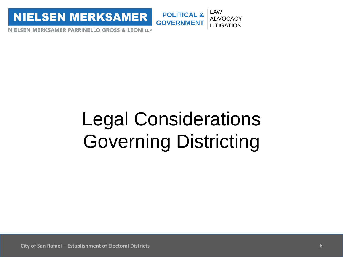**NIELSEN MERKSAMER** 



NIELSEN MERKSAMER PARRINELLO GROSS & LEONI LLP

# Legal Considerations Governing Districting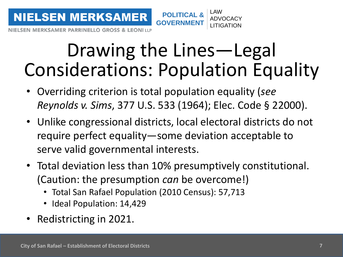

LAW

**MERKSAMER PARRINELLO GROSS & LEONI LLP** 

#### Drawing the Lines—Legal Considerations: Population Equality

- Overriding criterion is total population equality (*see Reynolds v. Sims*, 377 U.S. 533 (1964); Elec. Code § 22000).
- Unlike congressional districts, local electoral districts do not require perfect equality—some deviation acceptable to serve valid governmental interests.
- Total deviation less than 10% presumptively constitutional. (Caution: the presumption *can* be overcome!)
	- Total San Rafael Population (2010 Census): 57,713
	- Ideal Population: 14,429
- Redistricting in 2021.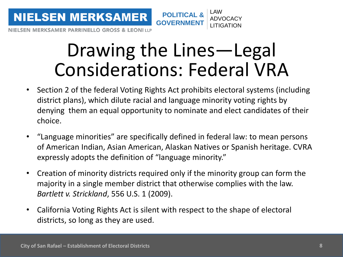

#### Drawing the Lines—Legal Considerations: Federal VRA

- Section 2 of the federal Voting Rights Act prohibits electoral systems (including district plans), which dilute racial and language minority voting rights by denying them an equal opportunity to nominate and elect candidates of their choice.
- "Language minorities" are specifically defined in federal law: to mean persons of American Indian, Asian American, Alaskan Natives or Spanish heritage. CVRA expressly adopts the definition of "language minority."
- Creation of minority districts required only if the minority group can form the majority in a single member district that otherwise complies with the law. *Bartlett v. Strickland*, 556 U.S. 1 (2009).
- California Voting Rights Act is silent with respect to the shape of electoral districts, so long as they are used.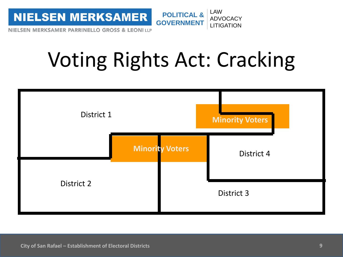

# Voting Rights Act: Cracking

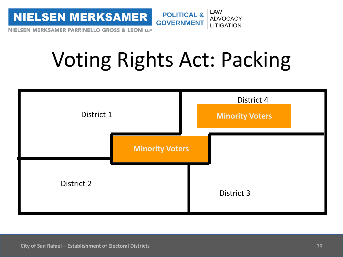

# Voting Rights Act: Packing

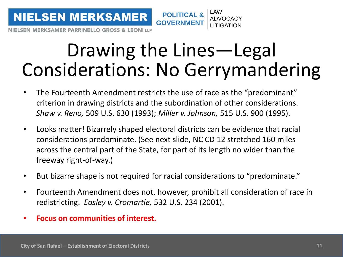

#### Drawing the Lines—Legal Considerations: No Gerrymandering

**POLITICAL &**

LAW

ADVOCACY LITIGATION

**GOVERNME** 

- The Fourteenth Amendment restricts the use of race as the "predominant" criterion in drawing districts and the subordination of other considerations. *Shaw v. Reno,* 509 U.S. 630 (1993); *Miller v. Johnson,* 515 U.S. 900 (1995).
- Looks matter! Bizarrely shaped electoral districts can be evidence that racial considerations predominate. (See next slide, NC CD 12 stretched 160 miles across the central part of the State, for part of its length no wider than the freeway right-of-way.)
- But bizarre shape is not required for racial considerations to "predominate."
- Fourteenth Amendment does not, however, prohibit all consideration of race in redistricting. *Easley v. Cromartie,* 532 U.S. 234 (2001).
- **Focus on communities of interest.**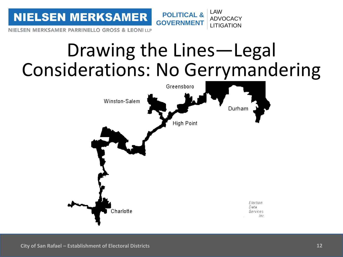**POLITICAL & NIELSEN MERKSAMER GOVERNMENT**

NIELSEN MERKSAMER PARRINELLO GROSS & LEONI LLP

#### Drawing the Lines—Legal Considerations: No Gerrymandering

LAW

ADVOCACY **LITIGATION** 

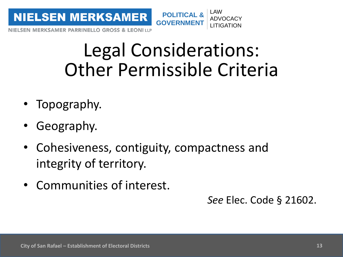

**MERKSAMER PARRINELLO GROSS & LEONILLP** 

#### Legal Considerations: Other Permissible Criteria

- Topography.
- Geography.
- Cohesiveness, contiguity, compactness and integrity of territory.
- Communities of interest.

*See* Elec. Code § 21602.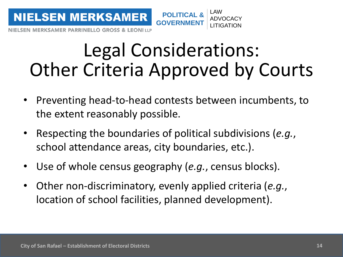

#### Legal Considerations: Other Criteria Approved by Courts

- Preventing head-to-head contests between incumbents, to the extent reasonably possible.
- Respecting the boundaries of political subdivisions (*e.g.*, school attendance areas, city boundaries, etc.).
- Use of whole census geography (*e.g.*, census blocks).
- Other non-discriminatory, evenly applied criteria (*e.g.*, location of school facilities, planned development).